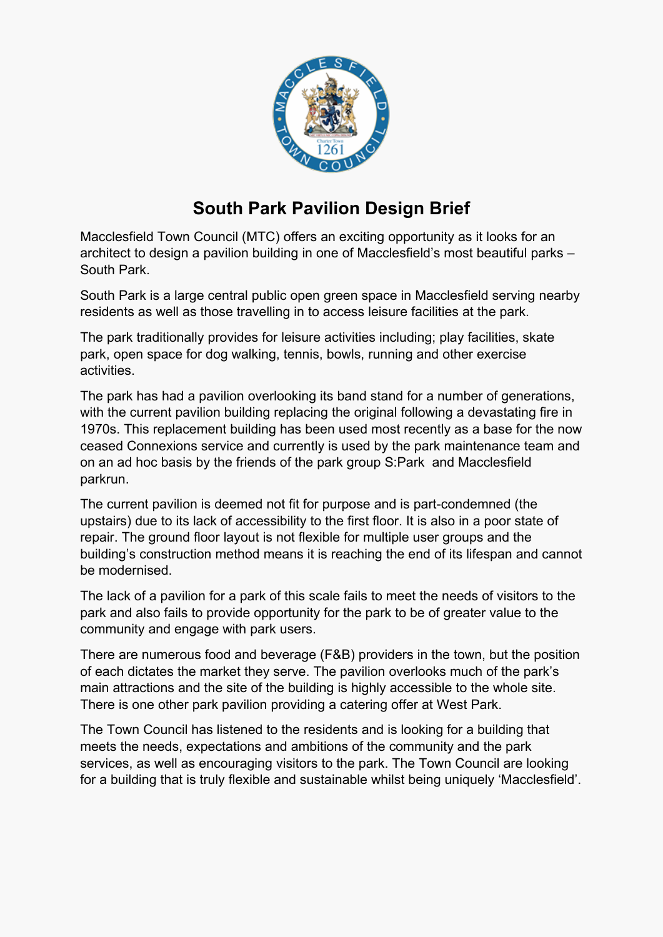

# **South Park Pavilion Design Brief**

Macclesfield Town Council (MTC) offers an exciting opportunity as it looks for an architect to design a pavilion building in one of Macclesfield's most beautiful parks – South Park.

South Park is a large central public open green space in Macclesfield serving nearby residents as well as those travelling in to access leisure facilities at the park.

The park traditionally provides for leisure activities including; play facilities, skate park, open space for dog walking, tennis, bowls, running and other exercise activities.

The park has had a pavilion overlooking its band stand for a number of generations, with the current pavilion building replacing the original following a devastating fire in 1970s. This replacement building has been used most recently as a base for the now ceased Connexions service and currently is used by the park maintenance team and on an ad hoc basis by the friends of the park group S:Park and Macclesfield parkrun.

The current pavilion is deemed not fit for purpose and is part-condemned (the upstairs) due to its lack of accessibility to the first floor. It is also in a poor state of repair. The ground floor layout is not flexible for multiple user groups and the building's construction method means it is reaching the end of its lifespan and cannot be modernised.

The lack of a pavilion for a park of this scale fails to meet the needs of visitors to the park and also fails to provide opportunity for the park to be of greater value to the community and engage with park users.

There are numerous food and beverage (F&B) providers in the town, but the position of each dictates the market they serve. The pavilion overlooks much of the park's main attractions and the site of the building is highly accessible to the whole site. There is one other park pavilion providing a catering offer at West Park.

The Town Council has listened to the residents and is looking for a building that meets the needs, expectations and ambitions of the community and the park services, as well as encouraging visitors to the park. The Town Council are looking for a building that is truly flexible and sustainable whilst being uniquely 'Macclesfield'.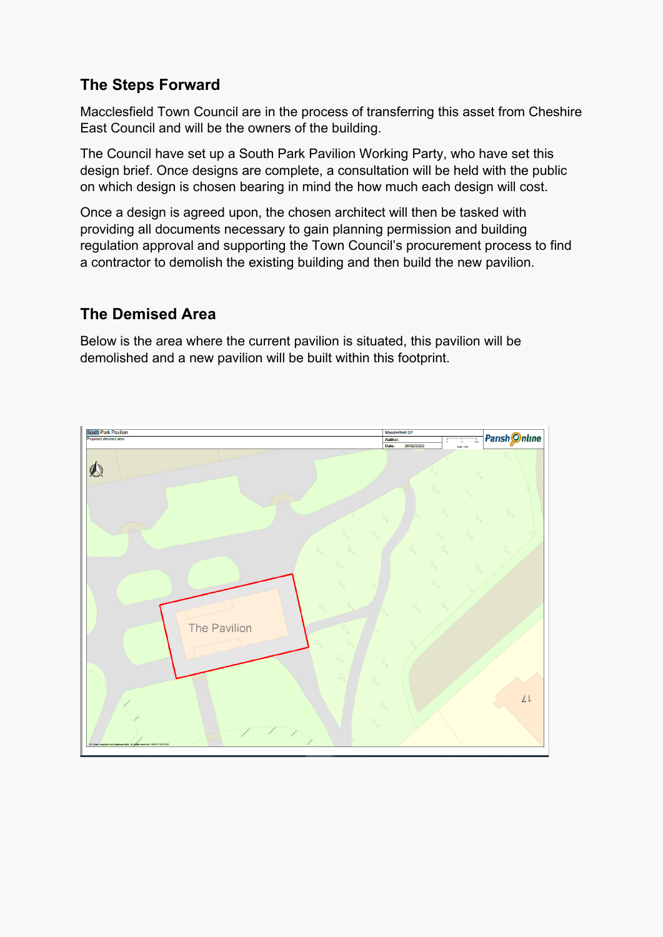### **The Steps Forward**

Macclesfield Town Council are in the process of transferring this asset from Cheshire East Council and will be the owners of the building.

The Council have set up a South Park Pavilion Working Party, who have set this design brief. Once designs are complete, a consultation will be held with the public on which design is chosen bearing in mind the how much each design will cost.

Once a design is agreed upon, the chosen architect will then be tasked with providing all documents necessary to gain planning permission and building regulation approval and supporting the Town Council's procurement process to find a contractor to demolish the existing building and then build the new pavilion.

### **The Demised Area**

Below is the area where the current pavilion is situated, this pavilion will be demolished and a new pavilion will be built within this footprint.

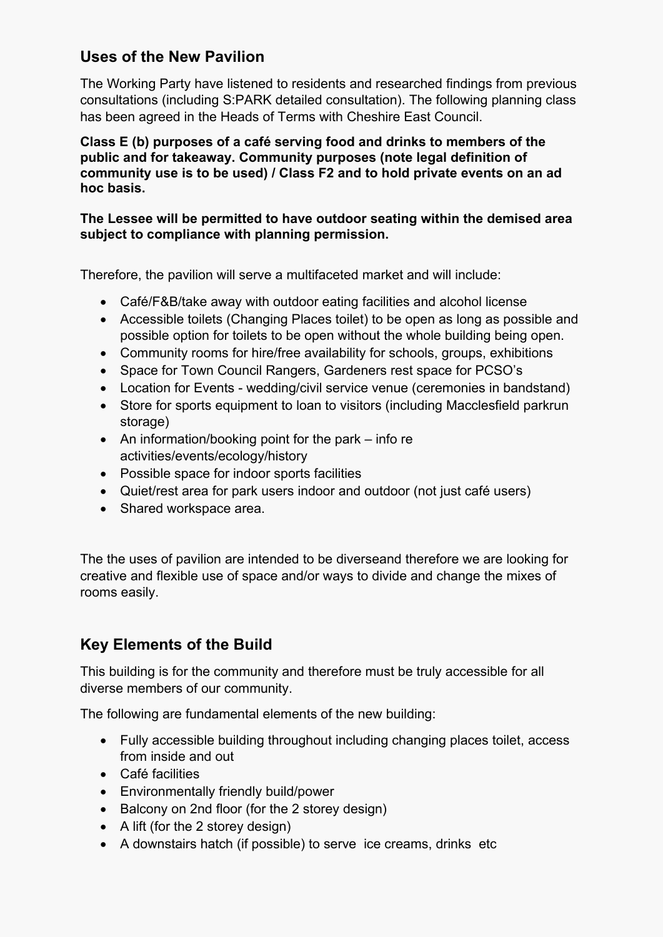### **Uses of the New Pavilion**

The Working Party have listened to residents and researched findings from previous consultations (including S:PARK detailed consultation). The following planning class has been agreed in the Heads of Terms with Cheshire East Council.

#### **Class E (b) purposes of a café serving food and drinks to members of the public and for takeaway. Community purposes (note legal definition of community use is to be used) / Class F2 and to hold private events on an ad hoc basis.**

#### **The Lessee will be permitted to have outdoor seating within the demised area subject to compliance with planning permission.**

Therefore, the pavilion will serve a multifaceted market and will include:

- Café/F&B/take away with outdoor eating facilities and alcohol license
- Accessible toilets (Changing Places toilet) to be open as long as possible and possible option for toilets to be open without the whole building being open.
- Community rooms for hire/free availability for schools, groups, exhibitions
- Space for Town Council Rangers, Gardeners rest space for PCSO's
- Location for Events wedding/civil service venue (ceremonies in bandstand)
- Store for sports equipment to loan to visitors (including Macclesfield parkrun storage)
- An information/booking point for the park info re activities/events/ecology/history
- Possible space for indoor sports facilities
- Quiet/rest area for park users indoor and outdoor (not just café users)
- Shared workspace area.

The the uses of pavilion are intended to be diverseand therefore we are looking for creative and flexible use of space and/or ways to divide and change the mixes of rooms easily.

### **Key Elements of the Build**

This building is for the community and therefore must be truly accessible for all diverse members of our community.

The following are fundamental elements of the new building:

- Fully accessible building throughout including changing places toilet, access from inside and out
- Café facilities
- Environmentally friendly build/power
- Balcony on 2nd floor (for the 2 storey design)
- A lift (for the 2 storey design)
- A downstairs hatch (if possible) to serve ice creams, drinks etc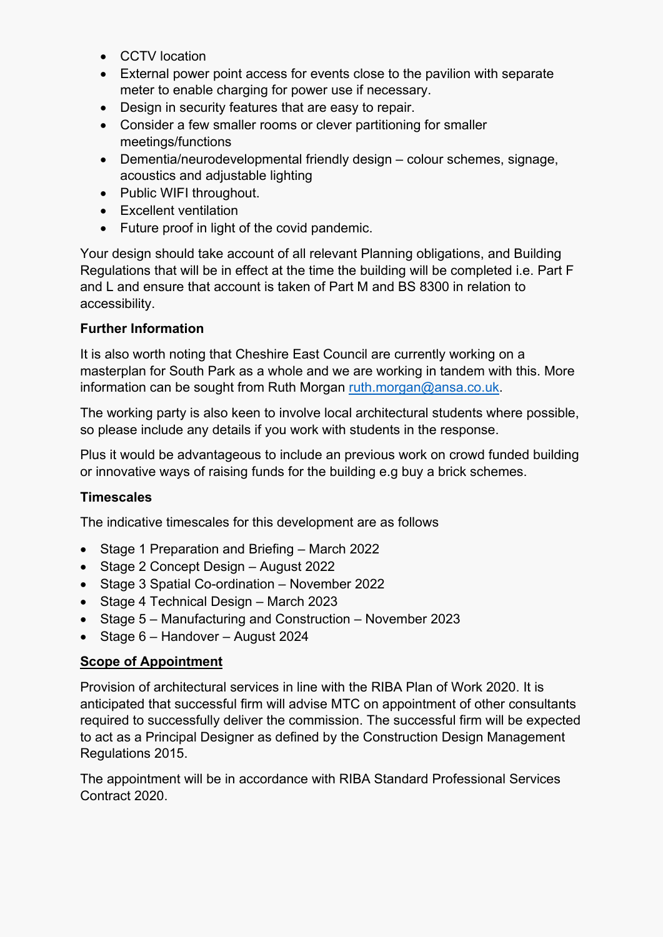- CCTV location
- External power point access for events close to the pavilion with separate meter to enable charging for power use if necessary.
- Design in security features that are easy to repair.
- Consider a few smaller rooms or clever partitioning for smaller meetings/functions
- Dementia/neurodevelopmental friendly design colour schemes, signage, acoustics and adjustable lighting
- Public WIFI throughout.
- Excellent ventilation
- Future proof in light of the covid pandemic.

Your design should take account of all relevant Planning obligations, and Building Regulations that will be in effect at the time the building will be completed i.e. Part F and L and ensure that account is taken of Part M and BS 8300 in relation to accessibility.

#### **Further Information**

It is also worth noting that Cheshire East Council are currently working on a masterplan for South Park as a whole and we are working in tandem with this. More information can be sought from Ruth Morgan [ruth.morgan@ansa.co.uk.](mailto:ruth.morgan@ansa.co.uk)

The working party is also keen to involve local architectural students where possible, so please include any details if you work with students in the response.

Plus it would be advantageous to include an previous work on crowd funded building or innovative ways of raising funds for the building e.g buy a brick schemes.

### **Timescales**

The indicative timescales for this development are as follows

- Stage 1 Preparation and Briefing March 2022
- Stage 2 Concept Design August 2022
- Stage 3 Spatial Co-ordination November 2022
- Stage 4 Technical Design March 2023
- Stage 5 Manufacturing and Construction November 2023
- Stage 6 Handover August 2024

### **Scope of Appointment**

Provision of architectural services in line with the RIBA Plan of Work 2020. It is anticipated that successful firm will advise MTC on appointment of other consultants required to successfully deliver the commission. The successful firm will be expected to act as a Principal Designer as defined by the Construction Design Management Regulations 2015.

The appointment will be in accordance with RIBA Standard Professional Services Contract 2020.